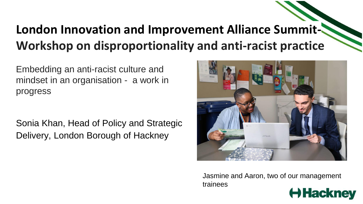# **London Innovation and Improvement Alliance Summit-Workshop on disproportionality and anti-racist practice**

Embedding an anti-racist culture and mindset in an organisation - a work in progress

Sonia Khan, Head of Policy and Strategic Delivery, London Borough of Hackney



Jasmine and Aaron, two of our management trainees

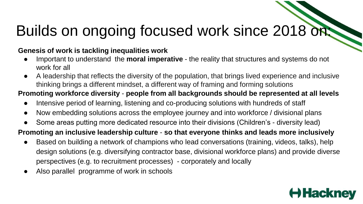# Builds on ongoing focused work since 2018 on:

#### **Genesis of work is tackling inequalities work**

- Important to understand the **moral imperative** the reality that structures and systems do not work for all
- A leadership that reflects the diversity of the population, that brings lived experience and inclusive thinking brings a different mindset, a different way of framing and forming solutions

# **Promoting workforce diversity** - **people from all backgrounds should be represented at all levels**

- Intensive period of learning, listening and co-producing solutions with hundreds of staff
- Now embedding solutions across the employee journey and into workforce / divisional plans
- Some areas putting more dedicated resource into their divisions (Children's diversity lead)

### **Promoting an inclusive leadership culture** - **so that everyone thinks and leads more inclusively**

- Based on building a network of champions who lead conversations (training, videos, talks), help design solutions (e.g. diversifying contractor base, divisional workforce plans) and provide diverse perspectives (e.g. to recruitment processes) - corporately and locally
- Also parallel programme of work in schools

# **Hack**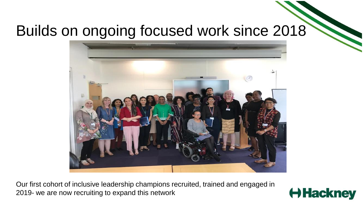# Builds on ongoing focused work since 2018



Our first cohort of inclusive leadership champions recruited, trained and engaged in 2019- we are now recruiting to expand this network

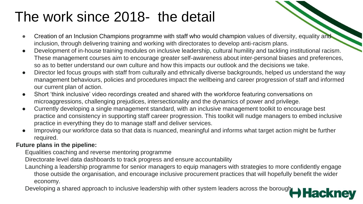# The work since 2018- the detail

- Creation of an Inclusion Champions programme with staff who would champion values of diversity, equality and inclusion, through delivering training and working with directorates to develop anti-racism plans.
- Development of in-house training modules on inclusive leadership, cultural humility and tackling institutional racism. These management courses aim to encourage greater self-awareness about inter-personal biases and preferences, so as to better understand our own culture and how this impacts our outlook and the decisions we take.
- Director led focus groups with staff from culturally and ethnically diverse backgrounds, helped us understand the way management behaviours, policies and procedures impact the wellbeing and career progression of staff and informed our current plan of action.
- Short 'think inclusive' video recordings created and shared with the workforce featuring conversations on microaggressions, challenging prejudices, intersectionality and the dynamics of power and privilege.
- Currently developing a single management standard, with an inclusive management toolkit to encourage best practice and consistency in supporting staff career progression. This toolkit will nudge managers to embed inclusive practice in everything they do to manage staff and deliver services.
- Improving our workforce data so that data is nuanced, meaningful and informs what target action might be further required.

#### **Future plans in the pipeline:**

Equalities coaching and reverse mentoring programme

Directorate level data dashboards to track progress and ensure accountability

Launching a leadership programme for senior managers to equip managers with strategies to more confidently engage those outside the organisation, and encourage inclusive procurement practices that will hopefully benefit the wider economy.

Developing a shared approach to inclusive leadership with other system leaders across the borough ackney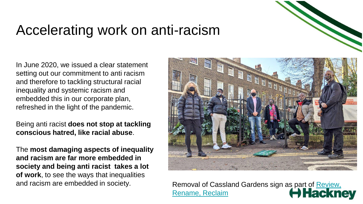# Accelerating work on anti-racism

In June 2020, we issued a clear statement setting out our commitment to anti racism and therefore to tackling structural racial inequality and systemic racism and embedded this in our corporate plan, refreshed in the light of the pandemic.

Being anti racist **does not stop at tackling conscious hatred, like racial abuse**.

The **most damaging aspects of inequality and racism are far more embedded in society and being anti racist takes a lot of work**, to see the ways that inequalities



and racism are embedded in society.<br>Rename, Reclaim Reclaim **Rename, Reclaim** Rename, Reclaim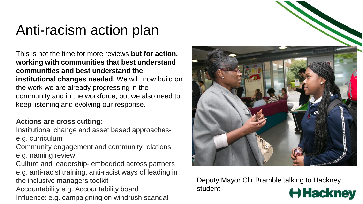# Anti-racism action plan

This is not the time for more reviews **but for action, working with communities that best understand communities and best understand the institutional changes needed**. We will now build on the work we are already progressing in the community and in the workforce, but we also need to keep listening and evolving our response.

#### **Actions are cross cutting:**

Institutional change and asset based approachese.g. curriculum

Community engagement and community relations e.g. naming review

Culture and leadership- embedded across partners e.g. anti-racist training, anti-racist ways of leading in the inclusive managers toolkit Accountability e.g. Accountability board Influence: e.g. campaigning on windrush scandal



Deputy Mayor Cllr Bramble talking to Hackney student Hackney